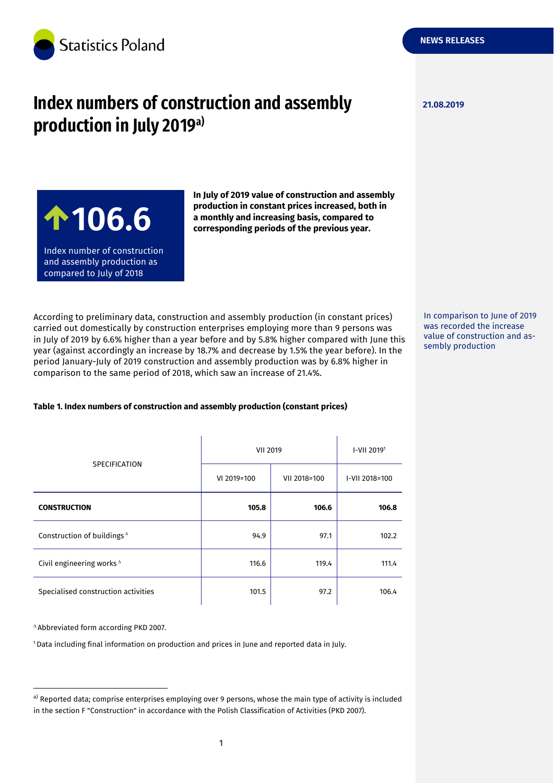

# **Index numbers of construction and assembly**  $\frac{21.08.2019}{21.08.2019}$ **production in July 2019a)**

**NEWS RELEASES**

**106.6**

Index number of construction and assembly production as compared to July of 2018

**In July of 2019 value of construction and assembly production in constant prices increased, both in a monthly and increasing basis, compared to corresponding periods of the previous year.**

According to preliminary data, construction and assembly production (in constant prices) carried out domestically by construction enterprises employing more than 9 persons was in July of 2019 by 6.6% higher than a year before and by 5.8% higher compared with June this year (against accordingly an increase by 18.7% and decrease by 1.5% the year before). In the period January-July of 2019 construction and assembly production was by 6.8% higher in comparison to the same period of 2018, which saw an increase of 21.4%.

**Table 1. Index numbers of construction and assembly production (constant prices)**

| <b>SPECIFICATION</b>                  | <b>VII 2019</b> |              | I-VII 20191    |
|---------------------------------------|-----------------|--------------|----------------|
|                                       | VI 2019=100     | VII 2018=100 | I-VII 2018=100 |
| <b>CONSTRUCTION</b>                   | 105.8           | 106.6        | 106.8          |
| Construction of buildings $\triangle$ | 94.9            | 97.1         | 102.2          |
| Civil engineering works $\triangle$   | 116.6           | 119.4        | 111.4          |
| Specialised construction activities   | 101.5           | 97.2         | 106.4          |

Abbreviated form according PKD 2007.

-

<sup>1</sup> Data including final information on production and prices in June and reported data in July.

In comparison to June of 2019 was recorded the increase value of construction and assembly production

a) Reported data; comprise enterprises employing over 9 persons, whose the main type of activity is included in the section F "Construction" in accordance with the Polish Classification of Activities (PKD 2007).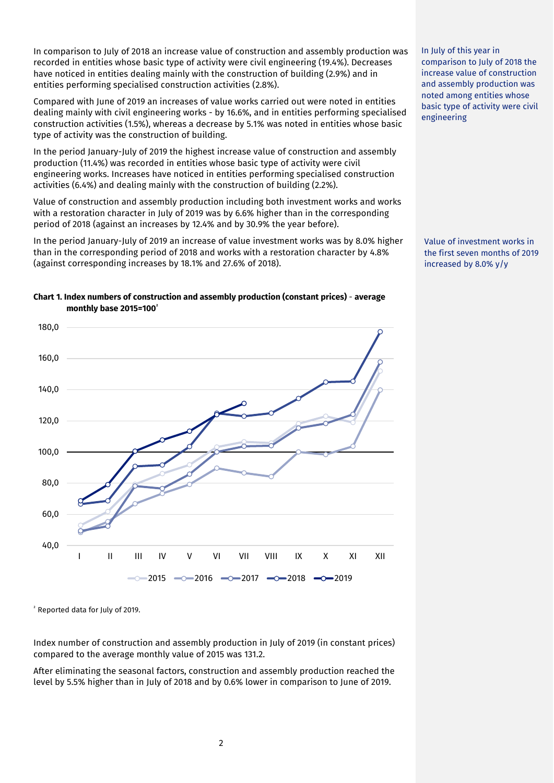In comparison to July of 2018 an increase value of construction and assembly production was recorded in entities whose basic type of activity were civil engineering (19.4%). Decreases have noticed in entities dealing mainly with the construction of building (2.9%) and in entities performing specialised construction activities (2.8%).

Compared with June of 2019 an increases of value works carried out were noted in entities dealing mainly with civil engineering works - by 16.6%, and in entities performing specialised construction activities (1.5%), whereas a decrease by 5.1% was noted in entities whose basic type of activity was the construction of building.

In the period January-July of 2019 the highest increase value of construction and assembly production (11.4%) was recorded in entities whose basic type of activity were civil engineering works. Increases have noticed in entities performing specialised construction activities (6.4%) and dealing mainly with the construction of building (2.2%).

Value of construction and assembly production including both investment works and works with a restoration character in July of 2019 was by 6.6% higher than in the corresponding period of 2018 (against an increases by 12.4% and by 30.9% the year before).

In the period January-July of 2019 an increase of value investment works was by 8.0% higher than in the corresponding period of 2018 and works with a restoration character by 4.8% (against corresponding increases by 18.1% and 27.6% of 2018).

### **Chart 1. Index numbers of construction and assembly production (constant prices)** - **average monthly base 2015=100<sup>²</sup>**



<sup>²</sup> Reported data for July of 2019.

Index number of construction and assembly production in July of 2019 (in constant prices) compared to the average monthly value of 2015 was 131.2.

After eliminating the seasonal factors, construction and assembly production reached the level by 5.5% higher than in July of 2018 and by 0.6% lower in comparison to June of 2019.

In July of this year in comparison to July of 2018 the increase value of construction and assembly production was noted among entities whose basic type of activity were civil engineering

Value of investment works in the first seven months of 2019 increased by 8.0% y/y